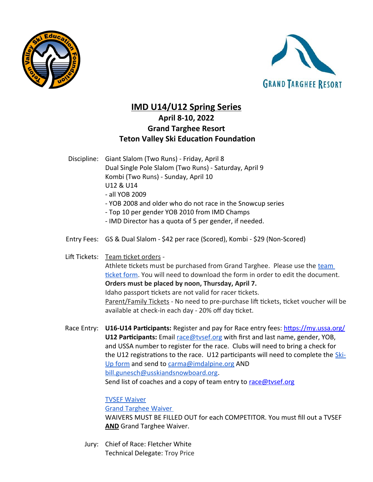



## **IMD U14/U12 Spring Series April 8-10, 2022 Grand Targhee Resort Teton Valley Ski Education Foundation**

Discipline: Giant Slalom (Two Runs) - Friday, April 8 Dual Single Pole Slalom (Two Runs) - Saturday, April 9 Kombi (Two Runs) - Sunday, April 10 U12 & U14 - all YOB 2009

- YOB 2008 and older who do not race in the Snowcup series
- Top 10 per gender YOB 2010 from IMD Champs
- IMD Director has a quota of 5 per gender, if needed.
- Entry Fees: GS & Dual Slalom \$42 per race (Scored), Kombi \$29 (Non-Scored)

Lift Tickets: Team ticket orders -

Athlete tickets must be purchased from Grand Targhee. Please use the [team](https://docs.google.com/spreadsheets/d/1BLpO096nMvKXsx2XHDQETJsIm72gm2Uh3u6fXvsAaoM/edit?usp=sharing)  [ticket form](https://docs.google.com/spreadsheets/d/1BLpO096nMvKXsx2XHDQETJsIm72gm2Uh3u6fXvsAaoM/edit?usp=sharing). You will need to download the form in order to edit the document. **Orders must be placed by noon, Thursday, April 7.**  Idaho passport tickets are not valid for racer tickets. Parent/Family Tickets - No need to pre-purchase lift tickets, ticket voucher will be available at check-in each day - 20% off day ticket.

Race Entry: **U16-U14 Participants:** Register and pay for Race entry fees: <https://my.ussa.org/> **U12 Participants:** Email [race@tvsef.org](mailto:race@tvsef.org) with first and last name, gender, YOB, and USSA number to register for the race. Clubs will need to bring a check for the U12 registrations to the race. U12 participants will need to complete the [Ski-](https://docs.google.com/document/d/15e8eHHC2F7xIqucImJozDMe8C65miMnI/edit?usp=sharing&ouid=114336803873318319107&rtpof=true&sd=true)[Up form](https://docs.google.com/document/d/15e8eHHC2F7xIqucImJozDMe8C65miMnI/edit?usp=sharing&ouid=114336803873318319107&rtpof=true&sd=true) and send to [carma@imdalpine.org](mailto:carma@imdalpine.org) AND [bill.gunesch@usskiandsnowboard.org.](mailto:bill.gunesch@usskiandsnowboard.org) Send list of coaches and a copy of team entry to race@tysef.org

[TVSEF Waiver](https://forms.gle/ta36QbLLdnKKKWVN6)

 [Grand Targhee Waiver](https://my.1risk.net/1waiverKioskv2/sign?a=aHR0cHM6Ly9teS4xcmlzay5uZXQvdGFyZ2hlZWFwaXxiZGNmZDQ5YWJmNzk0YzllOTRjOWIxZjdiMjYxMTdlNnwxNDI)

WAIVERS MUST BE FILLED OUT for each COMPETITOR. You must fill out a TVSEF **AND** Grand Targhee Waiver.

Jury: Chief of Race: Fletcher White Technical Delegate: Troy Price